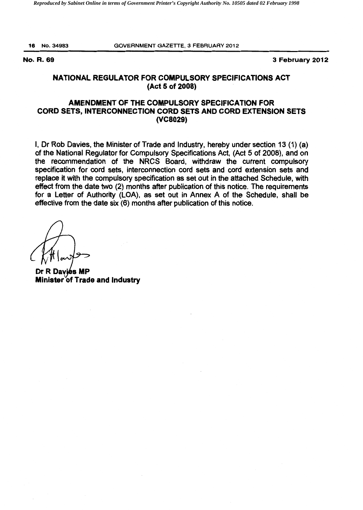16 No.34983 GOVERNMENT GAZETTE, 3 FEBRUARY 2012

No. R. 69 3 February 2012

## NATIONAL REGULATOR FOR COMPULSORY SPECIFICATIONS ACT (Act 5 of 2008)

## AMENDMENT OF THE COMPULSORY SPECIFICATION FOR CORD SETS, INTERCONNECTION CORD SETS AND CORD EXTENSION SETS (VC8029)

I, Dr Rob Davies, the Minister of Trade and Industry, hereby under section 13 (1) (a) of the National Regulator for Compulsory Specifications Act, (Act 5 of 2008), and on the recommendation of the NRCS Board, withdraw the current compulsory specification for cord sets, interconnection cord sets and cord extension sets and replace it with the compulsory specification as set out in the attached Schedule, with effect from the date two (2) months after publication of this notice. The requirements for a Letter of Authority (LOA), as set out in Annex A of the Schedule, shall be effective from the date six (6) months after publication of this notice.

Dr R Davies MP Minister of Trade and Industry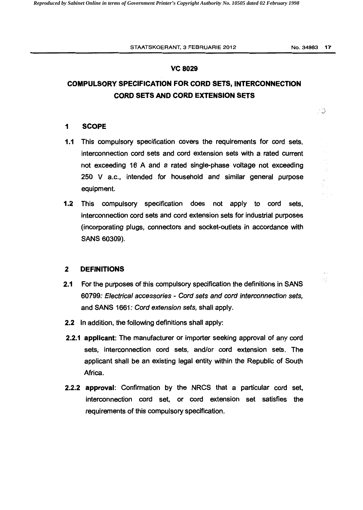#### **vc 8029**

# **COMPULSORY SPECIFICATION FOR CORD SETS, INTERCONNECTION CORD SETS AND CORD EXTENSION SETS**

50

ą.

Æ.

#### **1 SCOPE**

- **1.1** This compulsory specification covers the requirements for cord sets, interconnection cord sets and cord extension sets with a rated current not exceeding 16 A and a rated single-phase voltage not exceeding 250 V a.c., intended for household and similar general purpose equipment.
- **1.2** This compulsory specification does not apply to cord sets, interconnection cord sets and cord extension sets for industrial purposes (incorporating plugs, connectors and socket-outlets in accordance with SANS 60309).

#### **2 DEFINITIONS**

- **2.1** For the purposes of this compulsory specification the definitions in SANS 60799: Electrical accessories - Cord sets and cord interconnection sets, and SANS 1661: Cord extension sets, shall apply.
- **2.2** In addition, the following definitions shall apply:
- **2.2.1 applicant:** The manufacturer or importer seeking approval of any cord sets, interconnection cord sets, and/or cord extension sets. The applicant shall be an existing legal entity within the Republic of South Africa.
- **2.2.2 approval:** Confirmation by the NRCS that a particular cord set, interconnection cord set, or cord extension set satisfies the requirements of this compulsory specification.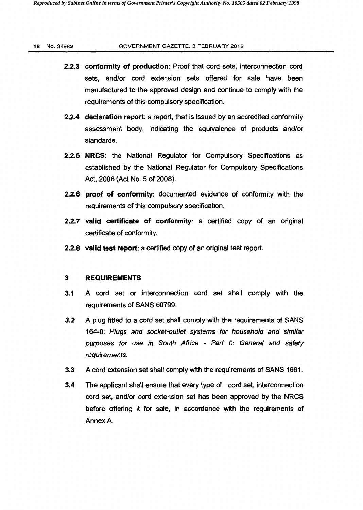#### 18 No.34983 GOVERNMENT GAZETTE, 3 FEBRUARY 2012

- 2.2.3 conformity of production: Proof that cord sets, interconnection cord sets, and/or cord extension sets offered for sale have been manufactured to the approved design and continue to comply with the requirements of this compulsory specification.
- 2.2.4 declaration report: a report, that is issued by an accredited conformity assessment body, indicating the equivalence of products and/or standards.
- 2.2.5 NRCS: the National Regulator for Compulsory Specifications as established by the National Regulator for Compulsory Specifications Act, 2008 (Act No.5 of 2008).
- 2.2.6 proof of conformity: documented evidence of conformity with the requirements of this compulsory specification.
- 2.2.7 valid certificate of conformity: a certified copy of an original certificate of conformity.
- 2.2.8 valid test report: a certified copy of an original test report.

### 3 REQUIREMENTS

- 3.1 A cord set or interconnection cord set shall comply with the requirements of SANS 60799.
- *3.2* A plug fitted to a cord set shall comply with the requirements of SANS 164-0: Plugs and socket-outlet systems for household and similar purposes for use in South Africa - Part 0: General and safety requirements.
- 3.3 A cord extension set shall comply with the requirements of SANS 1661.
- 3.4 The applicant shall ensure that every type of cord set, interconnection cord set, and/or cord extension set has been approved by the NRCS before offering it for sale, in accordance with the requirements of Annex A.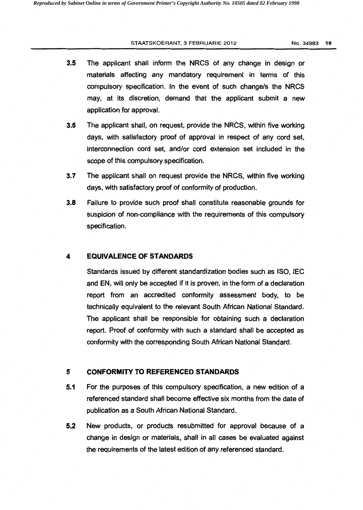#### STAATSKOERANT, 3 FEBRUARIE 2012 No. 34983 19

- **3.5** The applicant shall inform the NRCS of any change in design or materials affecting any mandatory requirement in terms of this compulsory specification. In the event of such change/s the NRCS may, at its discretion, demand that the applicant submit a new application for approval.
- **3.6** The applicant shall, on request, provide the NRCS, within five working days, with satisfactory proof of approval in respect of any cord set, interconnection cord set, and/or cord extension set included in the scope of this compulsory specification.
- **3.7** The applicant shall on request provide the NRCS, within five working days, with satisfactory proof of conformity of production.
- **3.8** Failure to provide such proof shall constitute reasonable grounds for suspicion of non-compliance with the requirements of this compulsory specification.

## **4 EQUIVALENCE OF STANDARDS**

Standards issued by different standardization bodies such as ISO, IEC and EN, will only be accepted if it is proven, in the form of a declaration report from an accredited conformity assessment body, to be technically equivalent to the relevant South African National Standard. The applicant shall be responsible for obtaining such a declaration report. Proof of conformity with such a standard shall be accepted as conformity with the corresponding South African National Standard.

## **5 CONFORMITY TO REFERENCED STANDARDS**

- **5.1** For the purposes of this compulsory specification, a new edition of a referenced standard shall become effective six months from the date of publication as a South African National Standard.
- **5.2** New products, or products resubmitted for approval because of a change in design or materials, shall in all cases be evaluated against the requirements of the latest edition of any referenced standard.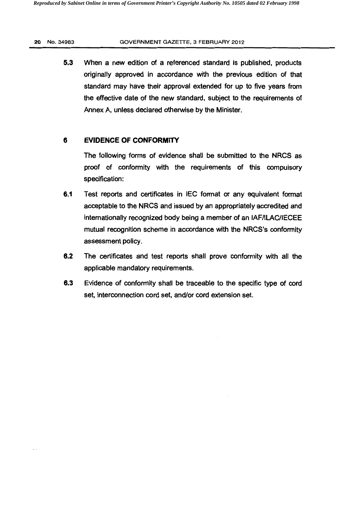#### 20 No. 34983 GOVERNMENT GAZETTE, 3 FEBRUARY 2012

5.3 When a new edition of a referenced standard is published, products originally approved in accordance with the previous edition of that standard may have their approval extended for up to five years from the effective date of the new standard, subject to the requirements of Annex A, unless declared otherwise by the Minister.

## **6 EVIDENCE OF CONFORMITY**

The following forms of evidence shall be submitted to the NRCS as proof of conformity with the requirements of this compulsory specification:

- **6.1** Test reports and certificates in IEC format or any equivalent format acceptable to the NRCS and issued by an appropriately accredited and internationally recognized body being a member of an IAF/ILAC/IECEE mutual recognition scheme in accordance with the NRCS's conformity assessment policy.
- 6.2 The certificates and test reports shall prove conformity with all the applicable mandatory requirements.
- 6.3 Evidence of conformity shall be traceable to the specific type of cord set, interconnection cord set, and/or cord extension set.